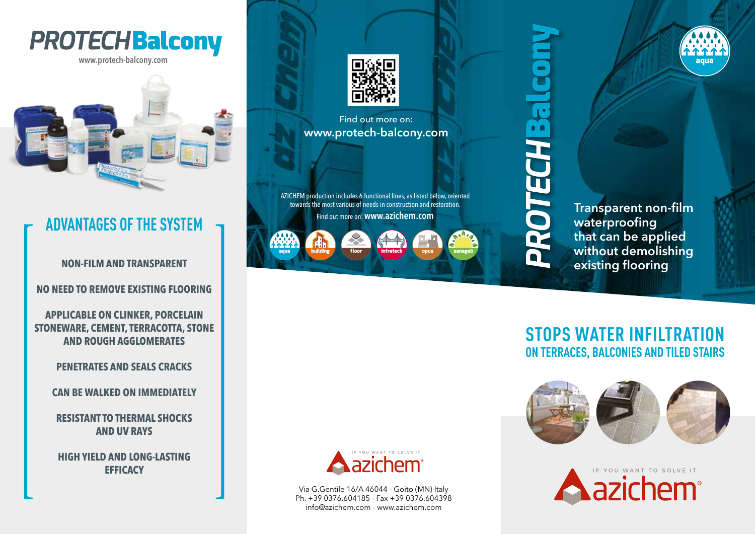

**www.protech-balcony.com**



## **ADVANTAGES OF THE SYSTEM**

**NON-FILM AND TRANSPARENT**

**NO NEED TO REMOVE EXISTING FLOORING**

**APPLICABLE ON CLINKER, PORCELAIN STONEWARE, CEMENT, TERRACOTTA, STONE AND ROUGH AGGLOMERATES**

### **PENETRATES AND SEALS CRACKS**

**CAN BE WALKED ON IMMEDIATELY**

**RESISTANT TO THERMAL SHOCKS AND UV RAYS**

**HIGH YIELD AND LONG-LASTING EFFICACY**



Find out more on: **www.protech-balcony.com**

AZICHEM production includes 6 functional lines, as listed below, oriented towards the most various of needs in construction and restoration. Find out more on: **www.azichem.com**





**Transparent non-film waterproofing that can be applied without demolishing existing flooring**

agua

### **STOPS WATER INFILTRATION ON TERRACES, BALCONIES AND TILED STAIRS**







Via G.Gentile 16/A 46044 - Goito (MN) Italy Ph. +39 0376.604185 - Fax +39 0376.604398 info@azichem.com - www.azichem.com